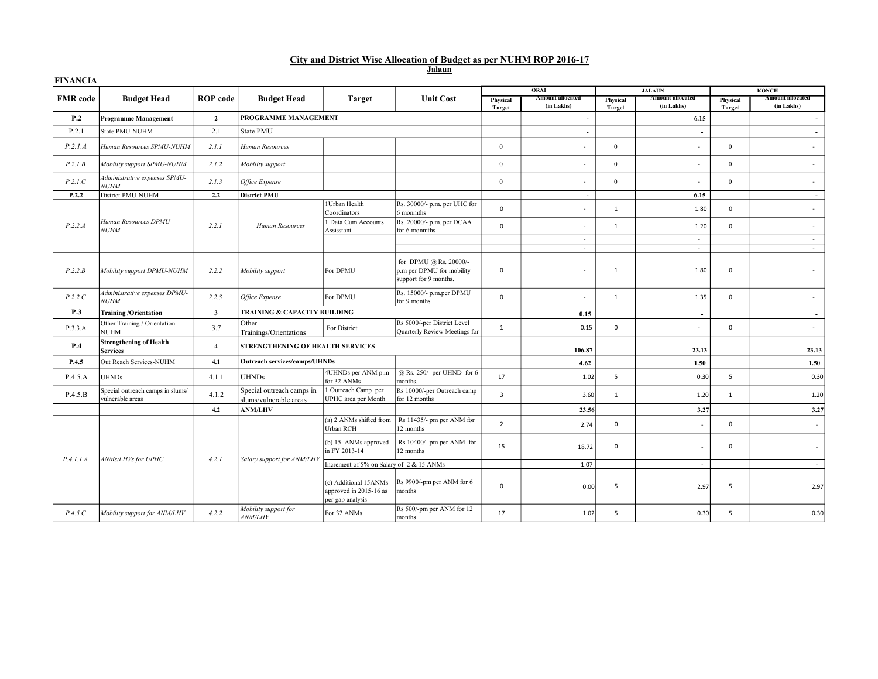|        |  |  |  | City and District Wise Allocation of Budget as per NUHM ROP 2016-17 |  |  |  |  |  |  |  |  |  |
|--------|--|--|--|---------------------------------------------------------------------|--|--|--|--|--|--|--|--|--|
| Jalaun |  |  |  |                                                                     |  |  |  |  |  |  |  |  |  |

| <b>FINANCIA</b> |                                                      |                 |                                                     |                                                                     |                                                                              |                           | ORAI                                  |                    | <b>JALAUN</b>                         |                    | <b>KONCH</b>                          |
|-----------------|------------------------------------------------------|-----------------|-----------------------------------------------------|---------------------------------------------------------------------|------------------------------------------------------------------------------|---------------------------|---------------------------------------|--------------------|---------------------------------------|--------------------|---------------------------------------|
| <b>FMR</b> code | <b>Budget Head</b>                                   | <b>ROP</b> code | <b>Budget Head</b>                                  | <b>Target</b>                                                       | <b>Unit Cost</b>                                                             | Physical<br><b>Target</b> | <b>Amount allocated</b><br>(in Lakhs) | Physical<br>Target | <b>Amount allocated</b><br>(in Lakhs) | Physical<br>Target | <b>Amount allocated</b><br>(in Lakhs) |
| P.2             | <b>Programme Management</b>                          | $\overline{2}$  | PROGRAMME MANAGEMENT                                |                                                                     |                                                                              |                           | $\overline{\phantom{a}}$              |                    | 6.15                                  |                    | $\overline{\phantom{0}}$              |
| P.2.1           | State PMU-NUHM                                       | 2.1             | State PMU                                           |                                                                     |                                                                              |                           | $\overline{\phantom{a}}$              |                    | $\overline{\phantom{a}}$              |                    | $\overline{\phantom{a}}$              |
| P.2.1.A         | Human Resources SPMU-NUHM                            | 2.1.1           | Human Resources                                     |                                                                     |                                                                              | $\mathbf{0}$              |                                       | $\mathbf{0}$       | ٠                                     | $\overline{0}$     |                                       |
| P.2.1B          | Mobility support SPMU-NUHM                           | 2.1.2           | Mobility support                                    |                                                                     |                                                                              | $\mathbf{0}$              | ٠                                     | $\mathbf{0}$       | ٠                                     | $\overline{0}$     | $\sim$                                |
| P.2.1.C         | Administrative expenses SPMU-<br><b>NUHM</b>         | 2.1.3           | Office Expense                                      |                                                                     |                                                                              | $\mathbf{0}$              | ٠                                     | $\mathbf{0}$       | ٠                                     | $\mathbf{0}$       | $\overline{\phantom{a}}$              |
| P.2.2           | District PMU-NUHM                                    | 2.2             | <b>District PMU</b>                                 |                                                                     |                                                                              |                           | $\overline{a}$                        |                    | 6.15                                  |                    | $\overline{\phantom{a}}$              |
|                 |                                                      |                 |                                                     | 1 Urban Health<br>Coordinators                                      | Rs. 30000/- p.m. per UHC for<br>6 monmths                                    | $\mathbf 0$               | ٠                                     | 1                  | 1.80                                  | $\mathbf 0$        | $\sim$                                |
| P.2.2.A         | Human Resources DPMU-<br><b>NUHM</b>                 | 2.2.1           | Human Resources                                     | Data Cum Accounts<br>Assisstant                                     | Rs. 20000/- p.m. per DCAA<br>for 6 monmths                                   | $\mathbf 0$               | ٠                                     | $\mathbf{1}$       | 1.20                                  | $\mathbf 0$        | $\sim$                                |
|                 |                                                      |                 |                                                     |                                                                     |                                                                              |                           | $\sim$                                |                    | $\sim$                                |                    | $\sim$                                |
|                 |                                                      |                 |                                                     |                                                                     |                                                                              |                           | $\sim$                                |                    | $\sim$                                |                    | $\sim$                                |
| P.2.2.B         | Mobility support DPMU-NUHM                           | 2.2.2           | Mobility support                                    | For DPMU                                                            | for DPMU @ Rs. 20000/-<br>p.m per DPMU for mobility<br>support for 9 months. | $\mathbf 0$               |                                       | $\mathbf{1}$       | 1.80                                  | $\mathbf 0$        |                                       |
| P.2.2.C         | Administrative expenses DPMU-<br><b>NUHM</b>         | 2.2.3           | Office Expense                                      | For DPMU                                                            | Rs. 15000/- p.m.per DPMU<br>for 9 months                                     | $\mathbf{0}$              | ٠                                     | $\mathbf{1}$       | 1.35                                  | $\mathbf 0$        | ٠                                     |
| P.3             | <b>Training/Orientation</b>                          | $\mathbf{3}$    | TRAINING & CAPACITY BUILDING                        |                                                                     |                                                                              |                           | 0.15                                  |                    | $\overline{\phantom{0}}$              |                    |                                       |
| P.3.3.A         | Other Training / Orientation<br><b>NUHM</b>          | 3.7             | Other<br>Trainings/Orientations                     | For District                                                        | Rs 5000/-per District Level<br>Quarterly Review Meetings for                 | $\mathbf{1}$              | 0.15                                  | $\mathsf 0$        | ٠                                     | $\mathsf 0$        | $\sim$                                |
| P.4             | <b>Strengthening of Health</b><br><b>Services</b>    | $\overline{4}$  | STRENGTHENING OF HEALTH SERVICES                    |                                                                     |                                                                              |                           | 106.87                                |                    | 23.13                                 |                    | 23.13                                 |
| P.4.5           | Out Reach Services-NUHM                              | 4.1             | <b>Outreach services/camps/UHNDs</b>                |                                                                     |                                                                              |                           | 4.62                                  |                    | 1.50                                  |                    | 1.50                                  |
| P.4.5.A         | <b>UHNDs</b>                                         | 4.1.1           | <b>UHNDs</b>                                        | 4UHNDs per ANM p.m<br>for 32 ANMs                                   | $@$ Rs. 250/- per UHND for 6<br>months.                                      | 17                        | 1.02                                  | 5                  | 0.30                                  | 5                  | 0.30                                  |
| P.4.5.B         | Special outreach camps in slums/<br>vulnerable areas | 4.1.2           | Special outreach camps in<br>slums/vulnerable areas | Outreach Camp per<br>UPHC area per Month                            | Rs 10000/-per Outreach camp<br>for 12 months                                 | $\overline{3}$            | 3.60                                  | $\mathbf{1}$       | 1.20                                  | 1                  | 1.20                                  |
|                 |                                                      | 4,2             | <b>ANM/LHV</b>                                      |                                                                     |                                                                              |                           | 23.56                                 |                    | 3.27                                  |                    | 3.27                                  |
|                 |                                                      |                 |                                                     | (a) 2 ANMs shifted from<br>Urban RCH                                | Rs 11435/- pm per ANM for<br>12 months                                       | $\overline{2}$            | 2.74                                  | $\mathbf 0$        |                                       | $\mathsf 0$        |                                       |
|                 |                                                      |                 |                                                     | (b) 15 ANMs approved<br>in FY 2013-14                               | Rs 10400/- pm per ANM for<br>12 months                                       | 15                        | 18.72                                 | $\mathsf 0$        | ٠                                     | $\mathbf 0$        | ٠                                     |
| P.4.1.1.4       | ANMs/LHVs for UPHC                                   | 4.2.1           | Salary support for ANM/LHV                          | Increment of 5% on Salary of 2 & 15 ANMs                            |                                                                              |                           | 1.07                                  |                    | $\overline{\phantom{a}}$              |                    | $\sim$                                |
|                 |                                                      |                 |                                                     | (c) Additional 15ANMs<br>approved in 2015-16 as<br>per gap analysis | Rs 9900/-pm per ANM for 6<br>months                                          | $\mathbf 0$               | 0.00                                  | 5                  | 2.97                                  | 5                  | 2.97                                  |
| P.4.5.C         | Mobility support for ANM/LHV                         | 4.2.2           | Mobility support for<br><b>ANM/LHV</b>              | For 32 ANMs                                                         | Rs 500/-pm per ANM for 12<br>months                                          | 17                        | 1.02                                  | 5                  | 0.30                                  | 5                  | 0.30                                  |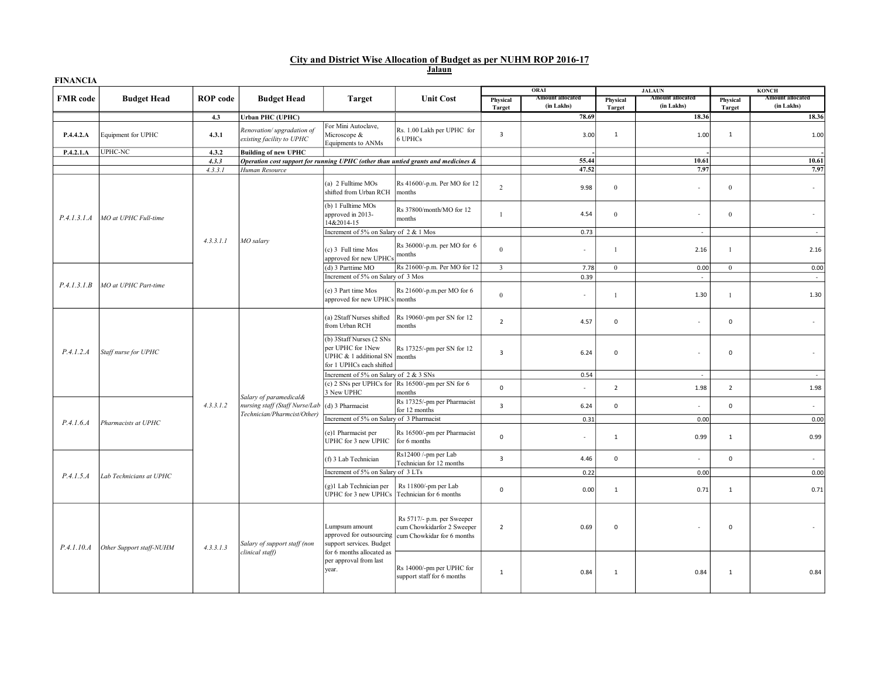### Jalaun City and District Wise Allocation of Budget as per NUHM ROP 2016-17

| <b>FINANCIA</b> |                          |                 |                                                                                         |                                                                                                     |                                                                                        |                           | ORAI                                  |                    | <b>JALAUN</b>                  |                           | <b>KONCH</b>                   |
|-----------------|--------------------------|-----------------|-----------------------------------------------------------------------------------------|-----------------------------------------------------------------------------------------------------|----------------------------------------------------------------------------------------|---------------------------|---------------------------------------|--------------------|--------------------------------|---------------------------|--------------------------------|
| <b>FMR</b> code | <b>Budget Head</b>       | <b>ROP</b> code | <b>Budget Head</b>                                                                      | <b>Target</b>                                                                                       | <b>Unit Cost</b>                                                                       | Physical<br><b>Target</b> | <b>Amount allocated</b><br>(in Lakhs) | Physical<br>Target | Amount allocated<br>(in Lakhs) | Physical<br><b>Target</b> | Amount allocated<br>(in Lakhs) |
|                 |                          | 4.3             | Urban PHC (UPHC)                                                                        |                                                                                                     |                                                                                        |                           | 78.69                                 |                    | 18.36                          |                           | 18.36                          |
| P.4.4.2.A       | Equipment for UPHC       | 4.3.1           | Renovation/upgradation of<br>existing facility to UPHC                                  | For Mini Autoclave,<br>Microscope &<br>Equipments to ANMs                                           | Rs. 1.00 Lakh per UPHC for<br>6 UPHCs                                                  | 3                         | 3.00                                  | $\mathbf{1}$       | 1.00                           | $\mathbf{1}$              | 1.00                           |
| P.4.2.1.A       | UPHC-NC                  | 4.3.2           | <b>Building of new UPHC</b>                                                             |                                                                                                     |                                                                                        |                           |                                       |                    |                                |                           |                                |
|                 |                          | 4.3.3           |                                                                                         |                                                                                                     | Operation cost support for running UPHC (other than untied grants and medicines &      |                           | 55.44                                 |                    | 10.61                          |                           | 10.61                          |
|                 |                          | 4.3.3.1         | Human Resource                                                                          |                                                                                                     |                                                                                        |                           | 47.52                                 |                    | 7.97                           |                           | 7.97                           |
|                 |                          |                 |                                                                                         | (a) 2 Fulltime MOs<br>shifted from Urban RCH                                                        | Rs 41600/-p.m. Per MO for 12<br>months                                                 | $\overline{2}$            | 9.98                                  | $\bf{0}$           | $\sim$                         | $\mathbf{0}$              | $\epsilon$                     |
| P.4.1.3.1.A     | MO at UPHC Full-time     |                 |                                                                                         | (b) 1 Fulltime MOs<br>approved in 2013-<br>14&2014-15                                               | Rs 37800/month/MO for 12<br>months                                                     | $\mathbf{1}$              | 4.54                                  | $\mathbf{0}$       | $\sim$                         | $\mathbf{0}$              | $\sim$                         |
|                 |                          |                 |                                                                                         | Increment of 5% on Salary of 2 & 1 Mos                                                              |                                                                                        |                           | 0.73                                  |                    | $\sim$                         |                           | $\sim$                         |
|                 |                          | 4.3.3.1.1       | MO salary                                                                               | (c) 3 Full time Mos<br>approved for new UPHCs                                                       | Rs 36000/-p.m. per MO for 6<br>months                                                  | $\theta$                  | $\sim$                                | $\mathbf{1}$       | 2.16                           | $\overline{1}$            | 2.16                           |
|                 |                          |                 |                                                                                         | (d) 3 Parttime MO                                                                                   | Rs 21600/-p.m. Per MO for 12                                                           | $\overline{3}$            | 7.78                                  | $\mathbf{0}$       | 0.00                           | $\mathbf{0}$              | 0.00                           |
|                 |                          |                 |                                                                                         | Increment of 5% on Salary of 3 Mos                                                                  |                                                                                        |                           | 0.39                                  |                    | ×,                             |                           |                                |
| P.4.1.3.1.B     | MO at UPHC Part-time     |                 |                                                                                         | (e) 3 Part time Mos<br>approved for new UPHCs months                                                | Rs 21600/-p.m.per MO for 6                                                             | $\mathbf{0}$              | $\epsilon$                            | $\mathbf{1}$       | 1.30                           | $\mathbf{1}$              | 1.30                           |
|                 | Staff nurse for UPHC     |                 | Salary of paramedical&<br>nursing staff (Staff Nurse/Lab<br>Technician/Pharmcist/Other) | (a) 2Staff Nurses shifted<br>from Urban RCH                                                         | Rs 19060/-pm per SN for 12<br>months                                                   | $\overline{2}$            | 4.57                                  | $\mathbf 0$        | $\sim$                         | $\mathsf 0$               | $\sim$                         |
| P.4.1.2.A       |                          |                 |                                                                                         | (b) 3Staff Nurses (2 SNs<br>per UPHC for 1New<br>UPHC & 1 additional SN<br>for 1 UPHCs each shifted | Rs 17325/-pm per SN for 12<br>months                                                   | $\overline{3}$            | 6.24                                  | $\mathsf 0$        |                                | $\mathbf 0$               | $\sim$                         |
|                 |                          |                 |                                                                                         | Increment of 5% on Salary of 2 & 3 SNs                                                              |                                                                                        |                           | 0.54                                  |                    | $\overline{\phantom{a}}$       |                           | $\sim$                         |
|                 |                          |                 |                                                                                         | 3 New UPHC                                                                                          | (c) 2 SNs per UPHCs for $\vert$ Rs 16500/-pm per SN for 6<br>months                    | $\mathsf 0$               | $\sim$                                | $\overline{2}$     | 1.98                           | $\overline{2}$            | 1.98                           |
|                 |                          | 4.3.3.1.2       |                                                                                         | (d) 3 Pharmacist<br>Increment of 5% on Salary of 3 Pharmacist                                       | Rs 17325/-pm per Pharmacist<br>for 12 months                                           | $\overline{3}$            | 6.24<br>0.31                          | $\mathbf 0$        | $\epsilon$<br>0.00             | $\mathbf 0$               | $\epsilon$<br>0.00             |
| P.4.1.6.4       | Pharmacists at UPHC      |                 |                                                                                         | (e)1 Pharmacist per<br>UPHC for 3 new UPHC                                                          | Rs 16500/-pm per Pharmacist<br>for 6 months                                            | $\mathsf 0$               | $\sim$                                | 1                  | 0.99                           | $\mathbf 1$               | 0.99                           |
|                 |                          |                 |                                                                                         | (f) 3 Lab Technician                                                                                | Rs12400 /-pm per Lab<br>Technician for 12 months                                       | $\overline{\mathbf{3}}$   | 4.46                                  | $\mathsf{o}\,$     | $\bar{z}$                      | $\mathsf 0$               | $\sim$                         |
| P.4.1.5.A       | Lab Technicians at UPHC  |                 |                                                                                         | Increment of 5% on Salary of 3 LTs                                                                  |                                                                                        |                           | 0.22                                  |                    | 0.00                           |                           | 0.00                           |
|                 |                          |                 |                                                                                         | (g)1 Lab Technician per<br>UPHC for 3 new UPHCs                                                     | Rs 11800/-pm per Lab<br>Technician for 6 months                                        | $\mathsf 0$               | 0.00                                  | $\mathbf{1}$       | 0.71                           | $\mathbf{1}$              | 0.71                           |
| P.4.1.10.A      | Other Support staff-NUHM | 4.3.3.1.3       | Salary of support staff (non<br>clinical staff)                                         | Lumpsum amount<br>approved for outsourcing<br>support services. Budget                              | Rs 5717/- p.m. per Sweeper<br>cum Chowkidarfor 2 Sweeper<br>cum Chowkidar for 6 months | $\overline{2}$            | 0.69                                  | $\mathsf 0$        | $\sim$                         | $\mathsf 0$               |                                |
|                 |                          |                 |                                                                                         | for 6 months allocated as<br>per approval from last<br>year.                                        | Rs 14000/-pm per UPHC for<br>support staff for 6 months                                | $\mathbf{1}$              | 0.84                                  | 1                  | 0.84                           | $\mathbf{1}$              | 0.84                           |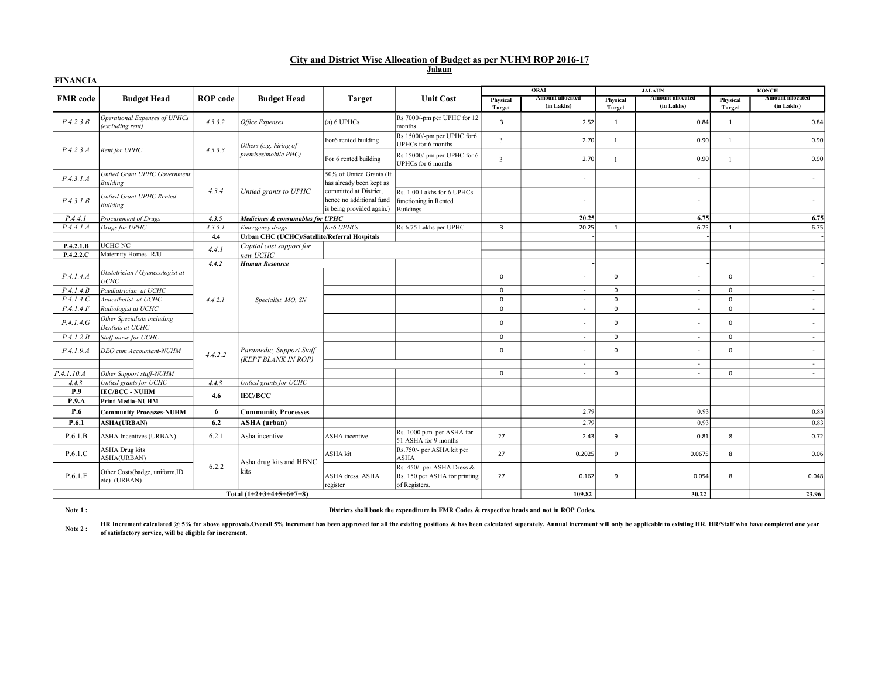# Jalaun City and District Wise Allocation of Budget as per NUHM ROP 2016-17

| <b>FINANCIA</b> |                                                   |                 |                                               |                                                                                 |                                                                              |                         |                                       |                           |                                       |                           |                                       |
|-----------------|---------------------------------------------------|-----------------|-----------------------------------------------|---------------------------------------------------------------------------------|------------------------------------------------------------------------------|-------------------------|---------------------------------------|---------------------------|---------------------------------------|---------------------------|---------------------------------------|
|                 |                                                   |                 |                                               |                                                                                 |                                                                              |                         | ORAI                                  |                           | <b>JALAUN</b>                         |                           | <b>KONCH</b>                          |
| <b>FMR</b> code | <b>Budget Head</b>                                | <b>ROP</b> code | <b>Budget Head</b>                            | <b>Target</b>                                                                   | <b>Unit Cost</b>                                                             | Physical<br>Target      | <b>Amount allocated</b><br>(in Lakhs) | Physical<br><b>Target</b> | <b>Amount allocated</b><br>(in Lakhs) | Physical<br><b>Target</b> | <b>Amount allocated</b><br>(in Lakhs) |
| P.4.2.3.B       | Operational Expenses of UPHCs<br>(excluding rent) | 4.3.3.2         | Office Expenses                               | (a) 6 UPHCs                                                                     | Rs 7000/-pm per UPHC for 12<br>months                                        | $\overline{\mathbf{3}}$ | 2.52                                  | $\mathbf{1}$              | 0.84                                  | 1                         | 0.84                                  |
|                 |                                                   |                 | Others (e.g. hiring of                        | For6 rented building                                                            | Rs 15000/-pm per UPHC for6<br>UPHCs for 6 months                             | $\overline{3}$          | 2.70                                  | $\mathbf{1}$              | 0.90                                  | $\overline{1}$            | 0.90                                  |
| P.4.2.3.A       | Rent for UPHC                                     | 4.3.3.3         | premises/mobile PHC)                          | For 6 rented building                                                           | Rs 15000/-pm per UPHC for 6<br>UPHCs for 6 months                            | $\overline{3}$          | 2.70                                  | $\mathbf{1}$              | 0.90                                  | $\overline{1}$            | 0.90                                  |
| P.4.3.1.A       | Untied Grant UPHC Government<br><b>Building</b>   |                 |                                               | 50% of Untied Grants (It<br>has already been kept as                            |                                                                              |                         | ٠                                     |                           | ٠                                     |                           | $\overline{\phantom{a}}$              |
| P.4.3.1.B       | Untied Grant UPHC Rented<br><b>Building</b>       | 4.3.4           | Untied grants to UPHC                         | committed at District,<br>hence no additional fund<br>is being provided again.) | Rs. 1.00 Lakhs for 6 UPHCs<br>functioning in Rented<br><b>Buildings</b>      |                         | $\overline{\phantom{a}}$              |                           | $\overline{\phantom{a}}$              |                           | $\overline{\phantom{a}}$              |
| P.4.4.1         | Procurement of Drugs                              | 4.3.5           | Medicines & consumables for UPHC              |                                                                                 |                                                                              |                         | 20.25                                 |                           | 6.75                                  |                           | 6.75                                  |
| P.4.4.1.A       | Drugs for UPHC                                    | 4.3.5.1         | Emergency drugs                               | for6 UPHCs                                                                      | Rs 6.75 Lakhs per UPHC                                                       | $\overline{3}$          | 20.25                                 | 1                         | 6.75                                  | 1                         | 6.75                                  |
|                 |                                                   | 4.4             | Urban CHC (UCHC)/Satellite/Referral Hospitals |                                                                                 |                                                                              |                         |                                       |                           |                                       |                           |                                       |
| P.4.2.1.B       | UCHC-NC                                           | 4.4.1           | Capital cost support for                      |                                                                                 |                                                                              |                         |                                       |                           |                                       |                           |                                       |
| P.4.2.2.C       | Maternity Homes -R/U                              |                 | new UCHC                                      |                                                                                 |                                                                              |                         |                                       |                           |                                       |                           |                                       |
|                 |                                                   | 4.4.2           | <b>Human Resource</b>                         |                                                                                 |                                                                              |                         |                                       |                           |                                       |                           |                                       |
| P.4.1.4.4       | Obstetrician / Gyanecologist at<br><b>UCHC</b>    |                 |                                               |                                                                                 |                                                                              | $^{\circ}$              | ٠                                     | $\mathbf{0}$              | $\overline{\phantom{a}}$              | $\mathbf 0$               | $\overline{\phantom{a}}$              |
| P.4.1.4.B       | Paediatrician at UCHC                             |                 |                                               |                                                                                 |                                                                              | $\mathbf{0}$            | $\sim$                                | $\mathbf 0$               | $\sim$                                | $\mathbf 0$               | $\sim$                                |
| P.4.1.4.C       | Anaesthetist at UCHC                              | 4.4.2.1         | Specialist, MO, SN                            |                                                                                 |                                                                              | $\mathbf 0$             | $\sim$                                | $\mathbf 0$               | $\overline{\phantom{a}}$              | $\mathbf 0$               | $\sim$                                |
| P.4.1.4.F       | Radiologist at UCHC                               |                 |                                               |                                                                                 |                                                                              | $\mathsf 0$             | $\sim$                                | $\mathbf 0$               | $\sim$                                | $\mathsf 0$               | $\sim$                                |
| P.4.1.4.6       | Other Specialists including<br>Dentists at UCHC   |                 |                                               |                                                                                 |                                                                              | $\mathsf 0$             | ٠                                     | $\mathbf 0$               | ٠                                     | $\mathbf 0$               | $\sim$                                |
| P.4.1.2.B       | Staff nurse for UCHC                              |                 |                                               |                                                                                 |                                                                              | $\mathbf 0$             | $\sim$                                | $\mathbf 0$               | $\sim$                                | $\mathbf 0$               | $\sim$                                |
| P.4.1.9.4       | DEO cum Accountant-NUHM                           | 4.4.2.2         | Paramedic, Support Staff                      |                                                                                 |                                                                              | $\mathbf{0}$            | ٠                                     | $\mathbf 0$               | $\sim$                                | $\mathbf 0$               | $\sim$                                |
|                 |                                                   |                 | (KEPT BLANK IN ROP)                           |                                                                                 |                                                                              |                         | $\sim$                                |                           | $\overline{\phantom{a}}$              |                           | $\sim$                                |
| P.4.1.10. A     | Other Support staff-NUHM                          |                 |                                               |                                                                                 |                                                                              | $^{\circ}$              | ×                                     | $\mathbf{0}$              | ٠                                     | $\mathbf 0$               | $\sim$                                |
| 4.4.3           | Untied grants for UCHC                            | 4.4.3           | Untied grants for UCHC                        |                                                                                 |                                                                              |                         |                                       |                           |                                       |                           |                                       |
| P.9             | <b>IEC/BCC - NUHM</b>                             | 4.6             | <b>IEC/BCC</b>                                |                                                                                 |                                                                              |                         |                                       |                           |                                       |                           |                                       |
| P.9.A           | <b>Print Media-NUHM</b>                           |                 |                                               |                                                                                 |                                                                              |                         |                                       |                           |                                       |                           |                                       |
| P.6             | <b>Community Processes-NUHM</b>                   | 6               | <b>Community Processes</b>                    |                                                                                 |                                                                              |                         | 2.79                                  |                           | 0.93                                  |                           | 0.83                                  |
| P.6.1           | <b>ASHA(URBAN)</b>                                | 6.2             | <b>ASHA</b> (urban)                           |                                                                                 |                                                                              |                         | 2.79                                  |                           | 0.93                                  |                           | 0.83                                  |
| P.6.1.B         | <b>ASHA Incentives (URBAN)</b>                    | 6.2.1           | Asha incentive                                | <b>ASHA</b> incentive                                                           | Rs. 1000 p.m. per ASHA for<br>51 ASHA for 9 months                           | 27                      | 2.43                                  | 9                         | 0.81                                  | 8                         | 0.72                                  |
| P.6.1.C         | <b>ASHA Drug kits</b><br>ASHA(URBAN)              |                 |                                               | ASHA kit                                                                        | Rs.750/- per ASHA kit per<br><b>ASHA</b>                                     | 27                      | 0.2025                                | 9                         | 0.0675                                | 8                         | 0.06                                  |
| P.6.1.E         | Other Costs(badge, uniform,ID<br>etc) (URBAN)     | 6.2.2           | Asha drug kits and HBNC<br>kits               | ASHA dress, ASHA<br>register                                                    | Rs. 450/- per ASHA Dress &<br>Rs. 150 per ASHA for printing<br>of Registers. | 27                      | 0.162                                 | 9                         | 0.054                                 | 8                         | 0.048                                 |
|                 |                                                   |                 | Total $(1+2+3+4+5+6+7+8)$                     |                                                                                 |                                                                              |                         | 109.82                                |                           | 30.22                                 |                           | 23.96                                 |

## Note 1 :

Districts shall book the expenditure in FMR Codes & respective heads and not in ROP Codes.

Note 2 : HR Increment calculated @ 5% for above approvals.Overall 5% increment has been approved for all the existing positions & has been calculated seperately. Annual increment will only be applicable to existing HR. HR/Staff who of satisfactory service, will be eligible for increment.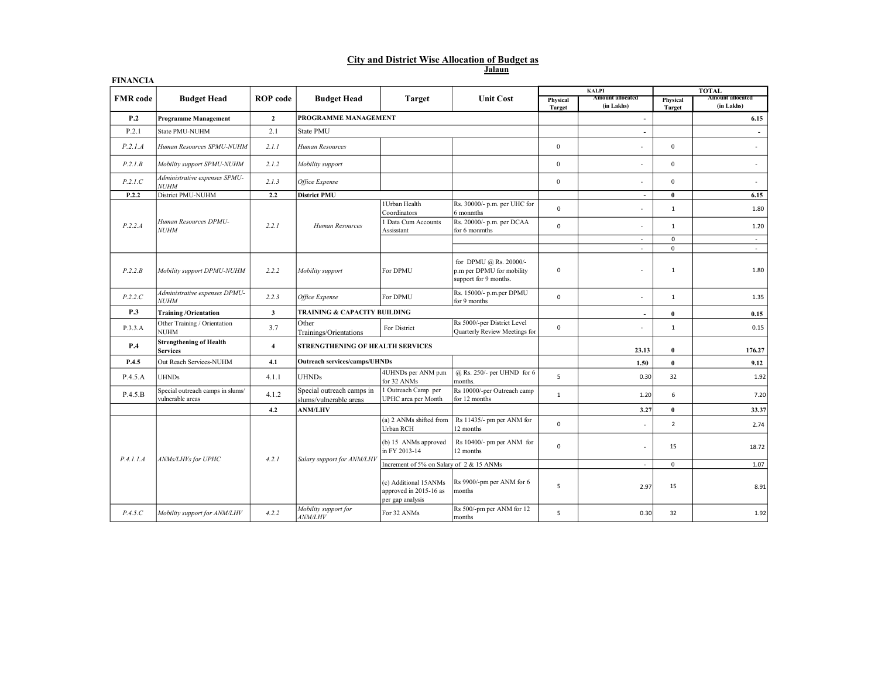# City and District Wise Allocation of Budget as

Jalaun

| <b>FINANCIA</b> |                                                      |                 |                                                     |                                                                     |                                                                              |                    |                                       |                           |                                |
|-----------------|------------------------------------------------------|-----------------|-----------------------------------------------------|---------------------------------------------------------------------|------------------------------------------------------------------------------|--------------------|---------------------------------------|---------------------------|--------------------------------|
|                 |                                                      |                 |                                                     |                                                                     |                                                                              |                    | <b>KALPI</b>                          |                           | <b>TOTAL</b>                   |
| <b>FMR</b> code | <b>Budget Head</b>                                   | <b>ROP</b> code | <b>Budget Head</b>                                  | <b>Target</b>                                                       | <b>Unit Cost</b>                                                             | Physical<br>Target | <b>Amount allocated</b><br>(in Lakhs) | Physical<br><b>Target</b> | Amount allocated<br>(in Lakhs) |
| P.2             | <b>Programme Management</b>                          | $\mathbf{2}$    | PROGRAMME MANAGEMENT                                |                                                                     |                                                                              |                    | $\overline{\phantom{a}}$              |                           | 6.15                           |
| P.2.1           | State PMU-NUHM                                       | 2.1             | <b>State PMU</b>                                    |                                                                     |                                                                              |                    | ÷,                                    |                           | $\overline{\phantom{a}}$       |
| P.2.1.A         | Human Resources SPMU-NUHM                            | 2.1.1           | Human Resources                                     |                                                                     |                                                                              | $\mathbf{0}$       |                                       | $\mathbf{0}$              | $\sim$                         |
| P.2.1.B         | Mobility support SPMU-NUHM                           | 2.1.2           | Mobility support                                    |                                                                     |                                                                              | $\mathbf{0}$       | ä,                                    | $\mathbf{0}$              | $\sim$                         |
| P.2.1.C         | Administrative expenses SPMU-<br><b>NUHM</b>         | 2.1.3           | Office Expense                                      |                                                                     |                                                                              | $\mathbf{0}$       |                                       | $\mathbf{0}$              | $\sim$                         |
| P.2.2           | District PMU-NUHM                                    | 2.2             | <b>District PMU</b>                                 |                                                                     |                                                                              |                    | $\overline{\phantom{a}}$              | $\bf{0}$                  | 6.15                           |
|                 |                                                      |                 |                                                     | 1Urban Health<br>Coordinators                                       | Rs. 30000/- p.m. per UHC for<br>6 monmths                                    | $\mathbf 0$        | ٠                                     | $\mathbf{1}$              | 1.80                           |
| P.2.2.A         | Human Resources DPMU-<br><b>NUHM</b>                 | 2.2.1           | Human Resources                                     | 1 Data Cum Accounts<br>Assisstant                                   | Rs. 20000/- p.m. per DCAA<br>for 6 monmths                                   | $\mathbf 0$        |                                       | $\mathbf{1}$              | 1.20                           |
|                 |                                                      |                 |                                                     |                                                                     |                                                                              |                    | $\sim$                                | $\mathsf 0$               | $\sim$                         |
|                 |                                                      |                 |                                                     |                                                                     |                                                                              |                    | $\sim$                                | $\Omega$                  | $\sim$                         |
| P.2.2.B         | Mobility support DPMU-NUHM                           | 2.2.2           | Mobility support                                    | For DPMU                                                            | for DPMU @ Rs. 20000/-<br>p.m per DPMU for mobility<br>support for 9 months. | 0                  | ×,                                    | 1                         | 1.80                           |
| P.2.2.C         | Administrative expenses DPMU-<br><b>NUHM</b>         | 2.2.3           | Office Expense                                      | For DPMU                                                            | Rs. 15000/- p.m.per DPMU<br>for 9 months                                     | $\mathbf 0$        | ä,                                    | $\mathbf{1}$              | 1.35                           |
| P.3             | <b>Training/Orientation</b>                          | $\mathbf{3}$    | TRAINING & CAPACITY BUILDING                        |                                                                     |                                                                              |                    | $\overline{a}$                        | $\bf{0}$                  | 0.15                           |
| P.3.3.A         | Other Training / Orientation<br><b>NUHM</b>          | 3.7             | Other<br>Trainings/Orientations                     | For District                                                        | Rs 5000/-per District Level<br>Quarterly Review Meetings for                 | $\mathsf 0$        |                                       | $\mathbf{1}$              | 0.15                           |
| P.4             | <b>Strengthening of Health</b><br><b>Services</b>    | $\overline{4}$  | STRENGTHENING OF HEALTH SERVICES                    |                                                                     |                                                                              |                    | 23.13                                 | $\bf{0}$                  | 176.27                         |
| P.4.5           | Out Reach Services-NUHM                              | 4.1             | <b>Outreach services/camps/UHNDs</b>                |                                                                     |                                                                              |                    | 1.50                                  | $\bf{0}$                  | 9.12                           |
| P.4.5.A         | <b>UHNDs</b>                                         | 4.1.1           | <b>UHNDs</b>                                        | 4UHNDs per ANM p.m<br>for 32 ANMs                                   | @ Rs. 250/- per UHND for 6<br>months.                                        | 5                  | 0.30                                  | 32                        | 1.92                           |
| P.4.5.B         | Special outreach camps in slums/<br>vulnerable areas | 4.1.2           | Special outreach camps in<br>slums/vulnerable areas | 1 Outreach Camp per<br>UPHC area per Month                          | Rs 10000/-per Outreach camp<br>for 12 months                                 | $\mathbf{1}$       | 1.20                                  | 6                         | 7.20                           |
|                 |                                                      | 4.2             | <b>ANM/LHV</b>                                      |                                                                     |                                                                              |                    | 3.27                                  | $\bf{0}$                  | 33.37                          |
|                 |                                                      |                 |                                                     | (a) 2 ANMs shifted from<br>Urban RCH                                | Rs 11435/- pm per ANM for<br>12 months                                       | $\mathbf 0$        |                                       | $\overline{2}$            | 2.74                           |
|                 |                                                      |                 |                                                     | $(b)$ 15 ANMs approved<br>in FY 2013-14                             | Rs 10400/- pm per ANM for<br>12 months                                       | 0                  | ÷,                                    | 15                        | 18.72                          |
| P.4.1.1.A       | ANMs/LHVs for UPHC                                   | 4.2.1           | Salary support for ANM/LHV                          | Increment of 5% on Salary of 2 & 15 ANMs                            |                                                                              |                    | ÷                                     | $\mathbf{0}$              | 1.07                           |
|                 |                                                      |                 |                                                     | (c) Additional 15ANMs<br>approved in 2015-16 as<br>per gap analysis | Rs 9900/-pm per ANM for 6<br>months                                          | 5                  | 2.97                                  | 15                        | 8.91                           |
| P.4.5.C         | Mobility support for ANM/LHV                         | 4.2.2           | Mobility support for<br><i>ANM/LHV</i>              | For 32 ANMs                                                         | Rs 500/-pm per ANM for 12<br>months                                          | 5                  | 0.30                                  | 32                        | 1.92                           |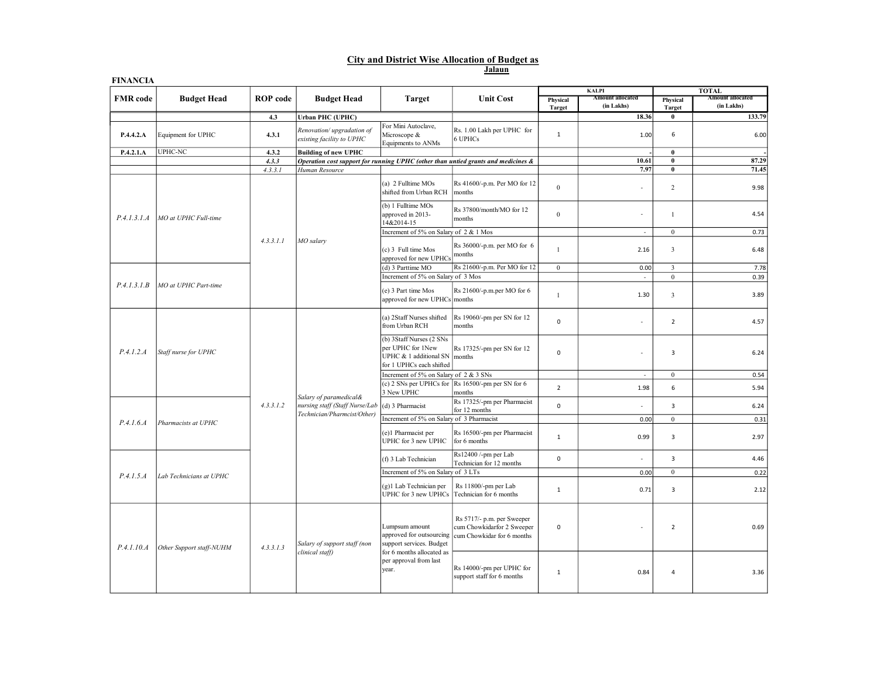### Jalaun City and District Wise Allocation of Budget as

| <b>FINANCIA</b> |                          |                 |                                                                                         |                                                                                                                                        |                                                                                        |                           |                                       |                           |                                         |
|-----------------|--------------------------|-----------------|-----------------------------------------------------------------------------------------|----------------------------------------------------------------------------------------------------------------------------------------|----------------------------------------------------------------------------------------|---------------------------|---------------------------------------|---------------------------|-----------------------------------------|
|                 |                          |                 |                                                                                         |                                                                                                                                        |                                                                                        |                           | <b>KALPI</b>                          |                           | <b>TOTAL</b><br><b>Amount allocated</b> |
| <b>FMR</b> code | <b>Budget Head</b>       | <b>ROP</b> code | <b>Budget Head</b>                                                                      | <b>Target</b>                                                                                                                          | <b>Unit Cost</b>                                                                       | Physical<br><b>Target</b> | <b>Amount allocated</b><br>(in Lakhs) | Physical<br><b>Target</b> | (in Lakhs)                              |
|                 |                          | 4.3             | <b>Urban PHC (UPHC)</b>                                                                 |                                                                                                                                        |                                                                                        |                           | 18.36                                 | $\bf{0}$                  | 133.79                                  |
| P.4.4.2.A       | Equipment for UPHC       | 4.3.1           | Renovation/upgradation of<br>existing facility to UPHC                                  | For Mini Autoclave,<br>Microscope &<br>Equipments to ANMs                                                                              | Rs. 1.00 Lakh per UPHC for<br>6 UPHCs                                                  | $\,1\,$                   | 1.00                                  | 6                         | 6.00                                    |
| P.4.2.1.A       | UPHC-NC                  | 4.3.2           | <b>Building of new UPHC</b>                                                             |                                                                                                                                        |                                                                                        |                           |                                       | $\bf{0}$                  |                                         |
|                 |                          | 4.3.3           |                                                                                         |                                                                                                                                        | Operation cost support for running UPHC (other than untied grants and medicines &      |                           | 10.61                                 | $\bf{0}$                  | 87.29                                   |
|                 |                          | 4.3.3.1         | Human Resource                                                                          |                                                                                                                                        |                                                                                        |                           | 7.97                                  | $\overline{\mathbf{0}}$   | 71.45                                   |
| P.4.1.3.1.A     | MO at UPHC Full-time     |                 |                                                                                         | (a) 2 Fulltime MOs<br>shifted from Urban RCH                                                                                           | Rs 41600/-p.m. Per MO for 12<br>months                                                 | $\mathbf{0}$              | $\sim$                                | $\sqrt{2}$                | 9.98                                    |
|                 |                          |                 |                                                                                         | (b) 1 Fulltime MOs<br>approved in 2013-<br>14&2014-15                                                                                  | Rs 37800/month/MO for 12<br>months                                                     | $\mathbf{0}$              | $\sim$                                | $\mathbf{1}$              | 4.54                                    |
|                 |                          |                 |                                                                                         | Increment of 5% on Salary of 2 & 1 Mos                                                                                                 |                                                                                        |                           | $\overline{\phantom{a}}$              | $\overline{0}$            | 0.73                                    |
|                 |                          | 4.3.3.1.1       | MO salary                                                                               | (c) 3 Full time Mos<br>approved for new UPHCs                                                                                          | Rs 36000/-p.m. per MO for 6<br>months                                                  | $\overline{1}$            | 2.16                                  | $\overline{\mathbf{3}}$   | 6.48                                    |
|                 |                          |                 |                                                                                         | (d) 3 Parttime MO                                                                                                                      | Rs 21600/-p.m. Per MO for 12                                                           | $\overline{0}$            | 0.00                                  | $\mathbf{3}$              | 7.78                                    |
|                 |                          |                 |                                                                                         | Increment of 5% on Salary of 3 Mos                                                                                                     |                                                                                        |                           | $\overline{\phantom{a}}$              | $\mathbf{0}$              | 0.39                                    |
| P.4.1.3.1.B     | MO at UPHC Part-time     |                 |                                                                                         | (e) 3 Part time Mos<br>approved for new UPHCs months                                                                                   | Rs 21600/-p.m.per MO for 6                                                             | $\mathbf{1}$              | 1.30                                  | 3                         | 3.89                                    |
|                 | Staff nurse for UPHC     |                 |                                                                                         | (a) 2Staff Nurses shifted<br>from Urban RCH                                                                                            | Rs 19060/-pm per SN for 12<br>months                                                   | $\mathsf 0$               | ×                                     | $\overline{2}$            | 4.57                                    |
| P.4.1.2.A       |                          |                 |                                                                                         | (b) 3Staff Nurses (2 SNs<br>per UPHC for 1New<br>UPHC & 1 additional SN<br>for 1 UPHCs each shifted                                    | Rs 17325/-pm per SN for 12<br>months                                                   | $\mathsf 0$               |                                       | 3                         | 6.24                                    |
|                 |                          |                 |                                                                                         | Increment of 5% on Salary of 2 & 3 SNs                                                                                                 |                                                                                        |                           | $\epsilon$                            | $\overline{0}$            | 0.54                                    |
|                 |                          |                 | Salary of paramedical&<br>uursing staff (Staff Nurse/Lab<br>Technician/Pharmcist/Other) | 3 New UPHC                                                                                                                             | (c) 2 SNs per UPHCs for $\vert$ Rs 16500/-pm per SN for 6<br>months                    | $\overline{2}$            | 1.98                                  | 6                         | 5.94                                    |
|                 |                          | 4.3.3.1.2       |                                                                                         | (d) 3 Pharmacist                                                                                                                       | Rs 17325/-pm per Pharmacist<br>for 12 months                                           | $\mathsf 0$               |                                       | $\overline{\mathbf{3}}$   | 6.24                                    |
| P.4.1.6.4       | Pharmacists at UPHC      |                 |                                                                                         | Increment of 5% on Salary of 3 Pharmacist                                                                                              |                                                                                        |                           | 0.00                                  | $\overline{0}$            | 0.31                                    |
|                 |                          |                 |                                                                                         | (e)1 Pharmacist per<br>UPHC for 3 new UPHC                                                                                             | Rs 16500/-pm per Pharmacist<br>for 6 months                                            | $\mathbf{1}$              | 0.99                                  | 3                         | 2.97                                    |
|                 |                          |                 |                                                                                         | (f) 3 Lab Technician                                                                                                                   | Rs12400 /-pm per Lab<br>Technician for 12 months                                       | $\mathsf 0$               | ×.                                    | $\overline{\mathbf{3}}$   | 4.46                                    |
| P.4.1.5.A       | Lab Technicians at UPHC  |                 |                                                                                         | Increment of 5% on Salary of 3 LTs                                                                                                     |                                                                                        |                           | 0.00                                  | $\overline{0}$            | 0.22                                    |
|                 |                          |                 |                                                                                         | (g)1 Lab Technician per<br>UPHC for 3 new UPHCs                                                                                        | Rs 11800/-pm per Lab<br>Technician for 6 months                                        | $\mathbf{1}$              | 0.71                                  | 3                         | 2.12                                    |
| P.4.1.10.A      | Other Support staff-NUHM | 4, 3, 3, 1, 3   | Salary of support staff (non<br>clinical staff)                                         | Lumpsum amount<br>approved for outsourcing<br>support services. Budget<br>for 6 months allocated as<br>per approval from last<br>year. | Rs 5717/- p.m. per Sweeper<br>cum Chowkidarfor 2 Sweeper<br>cum Chowkidar for 6 months | $\mathbf 0$               | ×                                     | $\mathbf 2$               | 0.69                                    |
|                 |                          |                 |                                                                                         |                                                                                                                                        | Rs 14000/-pm per UPHC for<br>support staff for 6 months                                | $\mathbf{1}$              | 0.84                                  | $\overline{a}$            | 3.36                                    |